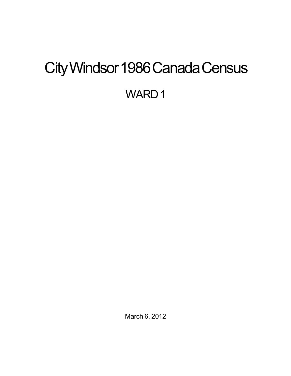# <span id="page-0-0"></span>City Windsor 1986 Canada Census WARD<sub>1</sub>

March 6, 2012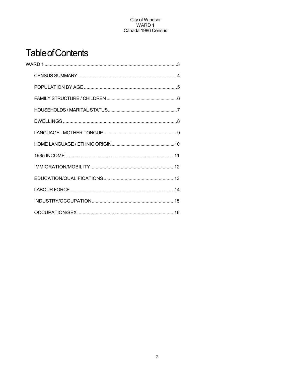## **Table of Contents**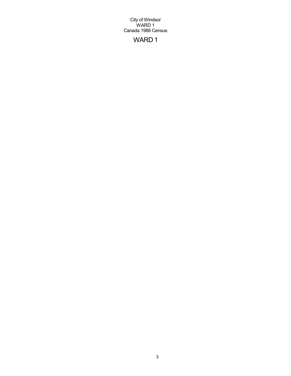## WARD 1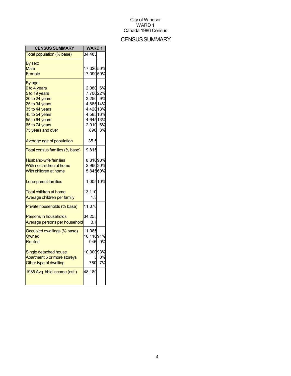## **CENSUS SUMMARY**

| <b>CENSUS SUMMARY</b>          | <b>WARD1</b> |        |
|--------------------------------|--------------|--------|
| Total population (% base)      | 34,485       |        |
| By sex:                        |              |        |
| Male                           | 17,32050%    |        |
| Female                         | 17,09050%    |        |
| By age:                        |              |        |
| 0 to 4 years                   | 2,080 6%     |        |
| 5 to 19 years                  | 7,70022%     |        |
| 20 to 24 years                 | 3,250 9%     |        |
| 25 to 34 years                 | 4,88514%     |        |
| 35 to 44 years                 | 4,42013%     |        |
| 45 to 54 years                 | 4,58513%     |        |
| 55 to 64 years                 | 4,64513%     |        |
| 65 to 74 years                 | 2,010 6%     |        |
| 75 years and over              |              | 890 3% |
| Average age of population      | 35.5         |        |
| Total census families (% base) | 9,815        |        |
| <b>Husband-wife families</b>   | 8,81090%     |        |
| With no children at home       | 2,96030%     |        |
| With children at home          | 5,84560%     |        |
|                                |              |        |
| Lone-parent families           | 1,00510%     |        |
| Total children at home         | 13,110       |        |
| Average children per family    | 1.3          |        |
| Private households (% base)    | 11,070       |        |
| <b>Persons in households</b>   | 34,255       |        |
| Average persons per household  | 3.1          |        |
| Occupied dwellings (% base)    | 11,085       |        |
| Owned                          | 10,11091%    |        |
| Rented                         | 945          | 9%     |
| Single detached house          | 10,30093%    |        |
| Apartment 5 or more storeys    |              | 0%     |
| Other type of dwelling         | 780          | 7%     |
|                                |              |        |
| 1985 Avg. hhld income (est.)   | 48,180       |        |
|                                |              |        |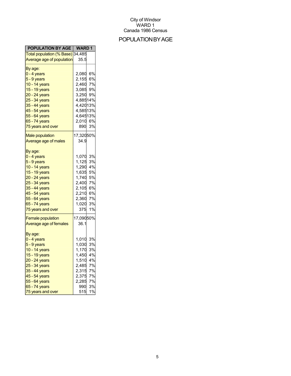## POPULATIONBYAGE

| <b>POPULATION BY AGE   WARD 1</b> |           |        |
|-----------------------------------|-----------|--------|
| Total population (% Base) 34,485  |           |        |
| Average age of population         | 35.5      |        |
| By age:                           |           |        |
| 0 - 4 years                       | 2,080 6%  |        |
| 5 - 9 years                       | 2,155 6%  |        |
| 10 - 14 years                     | 2,460     | 7%     |
| 15 - 19 years                     | 3,085     | 9%     |
| 20 - 24 years                     | 3,250 9%  |        |
| 25 - 34 years                     | 4,88514%  |        |
| 35 - 44 years                     | 4,42013%  |        |
| 45 - 54 years                     | 4,58513%  |        |
| 55 - 64 years                     | 4,64513%  |        |
|                                   |           |        |
| 65 - 74 years                     | 2,010 6%  |        |
| 75 years and over                 | 890       | 3%     |
| <b>Male population</b>            | 17,32050% |        |
| Average age of males              | 34.9      |        |
|                                   |           |        |
| By age:                           |           |        |
| 0 - 4 years                       | 1,070     | 3%     |
| 5 - 9 years                       | 1,125     | 3%     |
| 10 - 14 years                     | 1,290     | 4%     |
| 15 - 19 years                     | 1,635     | 5%     |
| 20 - 24 years                     | 1,740     | 5%     |
| 25 - 34 years                     | 2,400     | 7%     |
| 35 - 44 years                     | 2,105     | 6%     |
| 45 - 54 years                     | 2,210     | 6%     |
| 55 - 64 years                     | 2,360     | 7%     |
| 65 - 74 years                     | 1,020     | 3%     |
| 75 years and over                 | 375       | 1%     |
|                                   |           |        |
| <b>Female population</b>          | 17,09050% |        |
| Average age of females            | 36.1      |        |
|                                   |           |        |
| By age:                           |           |        |
| 0 - 4 years                       | 1,010     | 3%     |
| 5 - 9 years                       | 1,030     | 3%     |
| 10 - 14 years                     | 1,170     | 3%     |
| 15 - 19 years                     | 1,450     | 4%     |
| 20 - 24 years                     | 1,510     | 4%     |
| 25 - 34 years                     | 2,485     | 7%     |
| 35 - 44 years                     | 2,315     | 7%     |
| 45 - 54 years                     | 2,375     | 7%     |
| 55 - 64 years                     | 2,285     | 7%     |
| 65 - 74 years                     |           | 990 3% |
| 75 years and over                 | 515       | 1%     |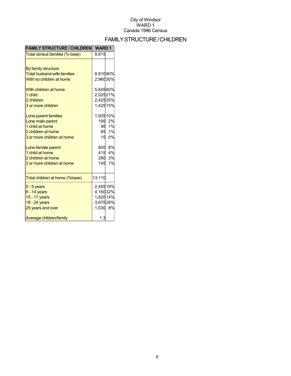## FAMILYSTRUCTURE/CHILDREN

| <b>FAMILY STRUCTURE / CHILDREN</b> | <b>WARD1</b> |        |
|------------------------------------|--------------|--------|
| Total census families (% base)     | 9,815        |        |
|                                    |              |        |
| By family structure:               |              |        |
| <b>Total husband-wife families</b> | 8,81090%     |        |
| With no children at home           | 2,96030%     |        |
| With children at home              | 5,84560%     |        |
| 1 child                            | 2,02521%     |        |
| 2 children                         | 2,42525%     |        |
| 3 or more children                 | 1,42515%     |        |
| Lone-parent families               | 1,00510%     |        |
| Lone male parent                   |              | 195 2% |
| 1 child at home                    |              | 95 1%  |
| 2 children at home                 |              | 65 1%  |
| 3 or more children at home         | 15           | 0%     |
| Lone female parent                 |              | 800 8% |
| 1 child at home                    | 415          | 4%     |
| 2 children at home                 | 280          | 3%     |
| 3 or more children at home         | 145          | 1%     |
| Total children at home (%base)     | 13,110       |        |
| $0 - 5$ years                      | 2,45519%     |        |
| $6 - 14$ years                     | 4,16032%     |        |
| 15 - 17 years                      | 1,82014%     |        |
| 18 - 24 years                      | 3,67528%     |        |
| 25 years and over                  | 1,030 8%     |        |
| Average children/family            | 1.3          |        |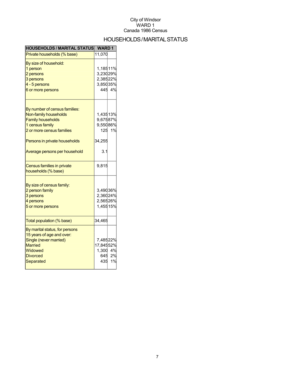## HOUSEHOLDS/MARITALSTATUS

| <b>HOUSEHOLDS / MARITAL STATUS</b> | <b>WARD1</b> |        |
|------------------------------------|--------------|--------|
| Private households (% base)        | 11,070       |        |
| By size of household:              |              |        |
| 1 person                           | 1,18511%     |        |
| 2 persons                          | 3,23029%     |        |
| 3 persons                          | 2,38522%     |        |
| 4 - 5 persons                      | 3,85035%     |        |
| 6 or more persons                  |              | 445 4% |
| By number of census families:      |              |        |
| Non-family households              | 1,43513%     |        |
| <b>Family households</b>           | 9,67587%     |        |
| 1 census family                    | 9,55086%     |        |
|                                    |              |        |
| 2 or more census families          |              | 125 1% |
| Persons in private households      | 34,255       |        |
| Average persons per household      | 3.1          |        |
| Census families in private         | 9,815        |        |
| households (% base)                |              |        |
|                                    |              |        |
| By size of census family:          |              |        |
| 2 person family                    | 3,49036%     |        |
| 3 persons                          | 2,36024%     |        |
| 4 persons                          | 2,56526%     |        |
| 5 or more persons                  | 1,45515%     |        |
| Total population (% base)          | 34,465       |        |
| By marital status, for persons     |              |        |
| 15 years of age and over:          |              |        |
| Single (never married)             | 7,48522%     |        |
| <b>Married</b>                     | 17,84552%    |        |
| Widowed                            | 1,300 4%     |        |
| <b>Divorced</b>                    |              | 645 2% |
| Separated                          |              | 435 1% |
|                                    |              |        |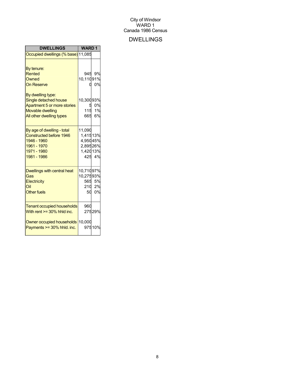## DWELLINGS

| <b>DWELLINGS</b>                                             | <b>WARD1</b>   |        |
|--------------------------------------------------------------|----------------|--------|
| Occupied dwellings (% base) 11,085                           |                |        |
|                                                              |                |        |
| By tenure:                                                   |                |        |
| Rented                                                       | 945            | 9%     |
| Owned                                                        | 10,11091%      |        |
| <b>On Reserve</b>                                            | 0              | 0%     |
|                                                              |                |        |
| By dwelling type:                                            |                |        |
| Single detached house<br>Apartment 5 or more stories         | 10,30093%<br>5 | 0%     |
| <b>Movable dwelling</b>                                      | 115            | 1%     |
| All other dwelling types                                     | 665            | 6%     |
|                                                              |                |        |
|                                                              | 11,090         |        |
| By age of dwelling - total<br><b>Constructed before 1946</b> | 1,41513%       |        |
| 1946 - 1960                                                  | 4,95045%       |        |
| 1961 - 1970                                                  | 2,89526%       |        |
| 1971 - 1980                                                  | 1,42013%       |        |
| 1981 - 1986                                                  |                | 425 4% |
|                                                              |                |        |
| Dwellings with central heat                                  | 10,71097%      |        |
| Gas                                                          | 10,27593%      |        |
| Electricity                                                  |                | 565 5% |
| Oil                                                          | 210            | 2%     |
| <b>Other fuels</b>                                           | 50             | 0%     |
|                                                              |                |        |
| <b>Tenant occupied households</b>                            | 960            |        |
| With rent >= 30% hhld inc.                                   |                | 27529% |
|                                                              |                |        |
| Owner occupied households 10,000                             |                |        |
| Payments >= 30% hhld. inc.                                   |                | 97510% |
|                                                              |                |        |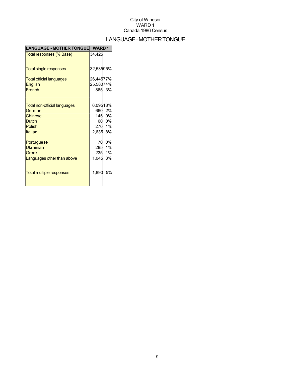## LANGUAGE-MOTHERTONGUE

| <b>LANGUAGE - MOTHER TONGUE</b>     | <b>WARD1</b> |        |
|-------------------------------------|--------------|--------|
| Total responses (% Base)            | 34,425       |        |
|                                     |              |        |
| <b>Total single responses</b>       | 32,53595%    |        |
| <b>Total official languages</b>     | 26,44577%    |        |
| <b>English</b>                      | 25,58074%    |        |
| French                              |              | 865 3% |
|                                     |              |        |
| <b>Total non-official languages</b> | 6,09518%     |        |
| German                              | 660          | 2%     |
| Chinese                             |              | 145 0% |
| <b>Dutch</b>                        | 60           | 0%     |
| Polish                              | 270          | 1%     |
| Italian                             | 2,635        | 8%     |
| Portuguese                          | 70           | 0%     |
| <b>Ukrainian</b>                    | 285          | 1%     |
| Greek                               | 235          | 1%     |
| Languages other than above          | 1,045        | 3%     |
|                                     |              |        |
| <b>Total multiple responses</b>     | 1,890        | 5%     |
|                                     |              |        |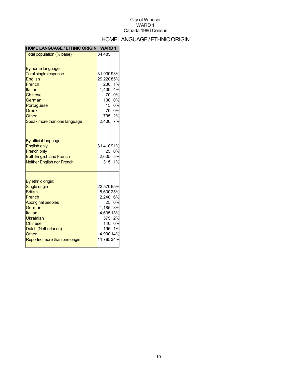## HOME LANGUAGE / ETHNIC ORIGIN

| <b>HOME LANGUAGE / ETHNIC ORIGIN</b>                                                                                                                                                                             | <b>WARD1</b>                                                                                                   |                                              |
|------------------------------------------------------------------------------------------------------------------------------------------------------------------------------------------------------------------|----------------------------------------------------------------------------------------------------------------|----------------------------------------------|
| Total population (% base)                                                                                                                                                                                        | 34,485                                                                                                         |                                              |
| By home language:<br><b>Total single response</b><br><b>English</b><br>French<br>Italian<br>Chinese<br>German<br>Portuguese<br><b>Greek</b><br>Other<br>Speak more than one language                             | 31,93093%<br>29,22085%<br>230<br>1,400<br>70<br>130<br>$\begin{array}{c} 15 \\ 70 \\ 795 \end{array}$<br>2,400 | 1%<br>4%<br>0%<br>0%<br>0%<br>0%<br>2%<br>7% |
| By official language:<br><b>English only</b><br><b>French only</b><br><b>Both English and French</b><br><b>Neither English nor French</b>                                                                        | 31,41091%<br>25<br>2,605<br>315                                                                                | 0%<br>8%<br>1%                               |
| By ethnic origin:<br>Single origin<br><b>British</b><br>French<br><b>Aboriginal peoples</b><br>German<br>Italian<br>Ukrainian<br><b>Chinese</b><br>Dutch (Netherlands)<br>Other<br>Reported more than one origin | 22,57065%<br>8,63025%<br>2,240<br>25<br>1,185<br>4,63513%<br>4,900 14%<br>11,78534%                            | 6%<br>0%<br>3%<br>575 2%<br>140 0%<br>195 1% |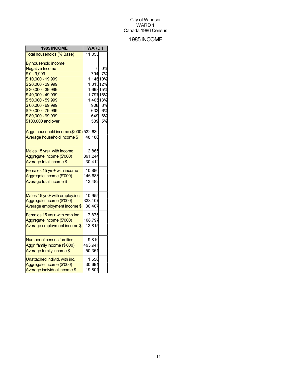## 1985INCOME

| 1985 INCOME                             | <b>WARD1</b> |    |
|-----------------------------------------|--------------|----|
| Total households (% Base)               | 11,055       |    |
| By household income:                    |              |    |
| <b>Negative Income</b>                  |              | 0% |
| $$0 - 9,999$                            | 794          | 7% |
| \$10,000 - 19,999                       | 1,14610%     |    |
| \$20,000 - 29,999                       | 1,31312%     |    |
| \$30,000 - 39,999                       | 1,69815%     |    |
| \$40,000 - 49,999                       | 1,79716%     |    |
| \$50,000 - 59,999                       | 1,40513%     |    |
| \$60,000 - 69,999                       | 908          | 8% |
| \$70,000 - 79,999                       | 632          | 6% |
| \$80,000 - 99,999                       | 649          | 6% |
| \$100,000 and over                      | 539          | 5% |
| Aggr. household income (\$'000) 532,630 |              |    |
| Average household income \$             | 48,180       |    |
| Males 15 yrs+ with income               | 12,865       |    |
| Aggregate income (\$'000)               | 391,244      |    |
| Average total income \$                 | 30,412       |    |
| Females 15 yrs+ with income             | 10,880       |    |
| Aggregate income (\$'000)               | 146,688      |    |
| Average total income \$                 | 13,482       |    |
| Males 15 yrs+ with employ.inc           | 10,955       |    |
| Aggregate income (\$'000)               | 333,107      |    |
| Average employment income \$            | 30,407       |    |
|                                         |              |    |
| Females 15 yrs+ with emp.inc.           | 7,875        |    |
| Aggregate income (\$'000)               | 108,797      |    |
| Average employment income \$            | 13,815       |    |
| <b>Number of census families</b>        | 9,810        |    |
| Aggr. family income (\$'000)            | 493,941      |    |
| Average family income \$                | 50,351       |    |
| Unattached individ. with inc.           | 1,550        |    |
| Aggregate income (\$'000)               | 30,691       |    |
| Average individual income \$            | 19,801       |    |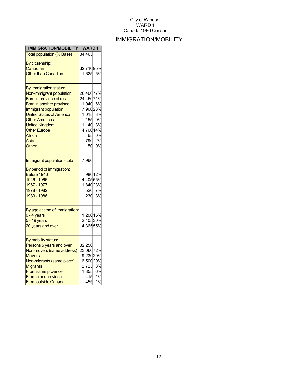## IMMIGRATION/MOBILITY

| IMMIGRATION/MOBILITY                            | <b>WARD1</b> |        |
|-------------------------------------------------|--------------|--------|
| <b>Total population (% Base)</b>                | 34,465       |        |
| By citizenship:                                 |              |        |
| Canadian                                        | 32,71095%    |        |
| <b>Other than Canadian</b>                      | 1,625        | 5%     |
|                                                 |              |        |
| By immigration status:                          |              |        |
| Non-immigrant population                        | 26,40077%    |        |
| Born in province of res.                        | 24,45071%    |        |
| Born in another province                        | 1,940 6%     |        |
| Immigrant population                            | 7,96023%     |        |
| <b>United States of America</b>                 | 1,015        | 3%     |
| <b>Other Americas</b>                           | 155          | 0%     |
| <b>United Kingdom</b>                           | 1,140        | 3%     |
| <b>Other Europe</b>                             | 4,76014%     |        |
| Africa                                          | 65           | 0%     |
| Asia                                            | 790          | 2%     |
| <b>Other</b>                                    | 50           | 0%     |
| Immigrant population - total                    | 7,960        |        |
| By period of immigration:                       |              |        |
| Before 1946                                     |              | 98012% |
| 1946 - 1966                                     | 4,40555%     |        |
| 1967 - 1977                                     | 1,84023%     |        |
| 1978 - 1982                                     | 520          | 7%     |
| 1983 - 1986                                     | 230          | 3%     |
|                                                 |              |        |
| By age at time of immigration:<br>$0 - 4$ years | 1,20015%     |        |
| $5 - 19$ years                                  | 2,40530%     |        |
|                                                 | 4,36555%     |        |
| 20 years and over                               |              |        |
| By mobility status:                             |              |        |
| Persons 5 years and over                        | 32,250       |        |
| Non-movers (same address)                       | 23,06072%    |        |
| <b>Movers</b>                                   | 9,23029%     |        |
| Non-migrants (same place)                       | 6,50020%     |        |
| <b>Migrants</b>                                 | 2,725        | 8%     |
| From same province                              | 1,855        | 6%     |
| From other province                             | 415          | 1%     |
| <b>From outside Canada</b>                      | 455          | 1%     |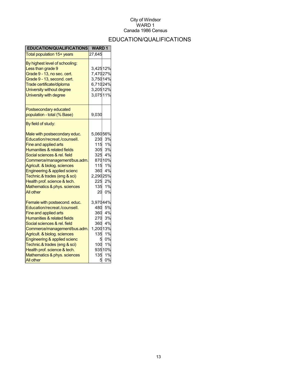## EDUCATION/QUALIFICATIONS

| <b>EDUCATION/QUALIFICATIONS</b>                                                                                                                                                                                                                                                                                                                                               | <b>WARD1</b>                                                         |                                                                                  |
|-------------------------------------------------------------------------------------------------------------------------------------------------------------------------------------------------------------------------------------------------------------------------------------------------------------------------------------------------------------------------------|----------------------------------------------------------------------|----------------------------------------------------------------------------------|
| Total population 15+ years                                                                                                                                                                                                                                                                                                                                                    | 27,645                                                               |                                                                                  |
| By highest level of schooling:<br>Less than grade 9<br>Grade 9 - 13, no sec. cert.<br>Grade 9 - 13, second. cert.<br>Trade certificate/diploma<br>University without degree<br>University with degree                                                                                                                                                                         | 3,42512%<br>7,47027%<br>3,75014%<br>6,71024%<br>3,20512%<br>3,07511% |                                                                                  |
| Postsecondary educated<br>population - total (% Base)                                                                                                                                                                                                                                                                                                                         | 9,030                                                                |                                                                                  |
| By field of study:                                                                                                                                                                                                                                                                                                                                                            |                                                                      |                                                                                  |
| Male with postsecondary educ.<br>Education/recreat./counsell.<br>Fine and applied arts<br>Humanities & related fields<br>Social sciences & rel. field<br>Commerce/management/bus.adm.<br>Agricult. & biolog. sciences<br>Engineering & applied scienc<br>Technic.& trades (eng & sci)<br>Health prof. science & tech.<br>Mathematics & phys. sciences<br><b>All other</b>     | 5,06056%<br>230<br>115<br>2,29025%<br>135<br>20                      | 3%<br>1%<br>305 3%<br>325 4%<br>87010%<br>115 1%<br>360 4%<br>225 2%<br>1%<br>0% |
| Female with postsecond. educ.<br>Education/recreat./counsell.<br>Fine and applied arts<br><b>Humanities &amp; related fields</b><br>Social sciences & rel. field<br>Commerce/management/bus.adm.<br>Agricult. & biolog. sciences<br>Engineering & applied scienc<br>Technic.& trades (eng & sci)<br>Health prof. science & tech.<br>Mathematics & phys. sciences<br>All other | 3,97044%<br>480<br>360<br>1,20013%<br>135<br>5<br>100<br>135<br>5    | 5%<br>4%<br>270 3%<br>360 4%<br>1%<br>0%<br>1%<br>93510%<br>1%<br>0%             |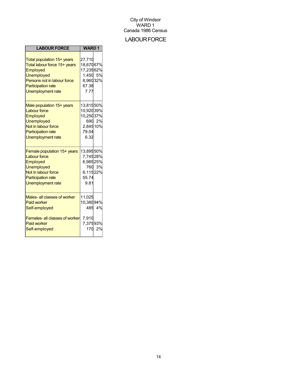## **LABOUR FORCE**

| <b>LABOUR FORCE</b>                                                                                                                                                                 | <b>WARD1</b>                                                              |              |
|-------------------------------------------------------------------------------------------------------------------------------------------------------------------------------------|---------------------------------------------------------------------------|--------------|
| Total population 15+ years<br>Total labour force 15+ years<br>Employed<br><b>Unemployed</b><br>Persons not in labour force<br><b>Participation rate</b><br><b>Unemployment rate</b> | 27,710<br>18,67067%<br>17,23562%<br>1,450 5%<br>8,96032%<br>67.38<br>7.77 |              |
| Male population 15+ years<br><b>Labour force</b><br>Employed<br><b>Unemployed</b><br>Not in labour force<br><b>Participation rate</b><br><b>Unemployment rate</b>                   | 13,81550%<br>10,92039%<br>10,25037%<br>2,84510%<br>79.04<br>6.32          | 690 2%       |
| Female population 15+ years<br><b>Labour force</b><br>Employed<br>Unemployed<br>Not in labour force<br><b>Participation rate</b><br><b>Unemployment rate</b>                        | 13,89550%<br>7,74528%<br>6,98525%<br>6,11522%<br>55.74<br>9.81            | 760 3%       |
| Males- all classes of worker<br><b>Paid worker</b><br>Self-employed<br><b>Females-all classes of worker</b><br><b>Paid worker</b><br>Self-employed                                  | 11,025<br>10,38094%<br>7,910<br>7,37593%<br>170                           | 485 4%<br>2% |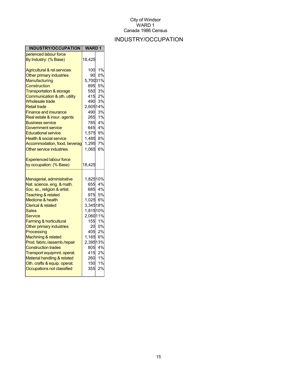## INDUSTRY/OCCUPATION

| INDUSTRY/OCCUPATION                    | <b>WARD1</b> |                  |
|----------------------------------------|--------------|------------------|
| perienced labour force                 |              |                  |
| By Industry: (% Base)                  | 18,425       |                  |
| <b>Agricultural &amp; rel.services</b> | 100          | 1%               |
| Other primary industries               | 90           | 0%               |
| Manufacturing                          | 5,70031%     |                  |
| Construction                           | 895          | 5%               |
| <b>Transportation &amp; storage</b>    |              | 550 3%           |
| Communication & oth. utility           | 415          | 2%               |
| <b>Wholesale trade</b>                 | 490          | 3%               |
| <b>Retail trade</b>                    | 2,60514%     |                  |
| <b>Finance and insurance</b>           |              | 490 3%           |
| Real estate & insur. agents            | 265          | 1%               |
| <b>Business service</b>                | 785          | 4%               |
| Government service                     |              | 645 4%           |
| <b>Educational service</b>             | 1,575 9%     |                  |
| <b>Health &amp; social service</b>     | 1,485        | 8%               |
| Accommodation, food, beverag           | 1,295        | 7%               |
| Other service industries               | 1,065        | 6%               |
| <b>Experienced labour force</b>        |              |                  |
| by occupation: (% Base)                | 18,425       |                  |
|                                        |              |                  |
| Managerial, administrative             | 1,82510%     |                  |
| Nat. science, eng. & math.             |              | 655 4%           |
| Soc. sc., religion & artist.           |              | 685 4%           |
| <b>Teaching &amp; related</b>          |              | 975 5%           |
| Medicine & health                      | 1,025 6%     |                  |
| <b>Clerical &amp; related</b>          | 3,34518%     |                  |
| Sales                                  | 1,81510%     |                  |
| <b>Service</b>                         | 2,06011%     |                  |
| <b>Farming &amp; horticultural</b>     | 155          | 1%               |
| Other primary industries               |              | 20 0%            |
| Processing                             |              | 405 2%           |
| Machining & related                    | 1,165 6%     |                  |
| Prod. fabric./assemb./repair           | 2,39513%     |                  |
| <b>Construction trades</b>             |              | 805 4%           |
| Transport equipmnt. operat.            |              | 415 2%           |
| Material handling & related            |              | 260 1%<br>150 1% |
| Oth. crafts & equip. operat.           |              |                  |
| Occupations not classified             | 355          | 2%               |
|                                        |              |                  |